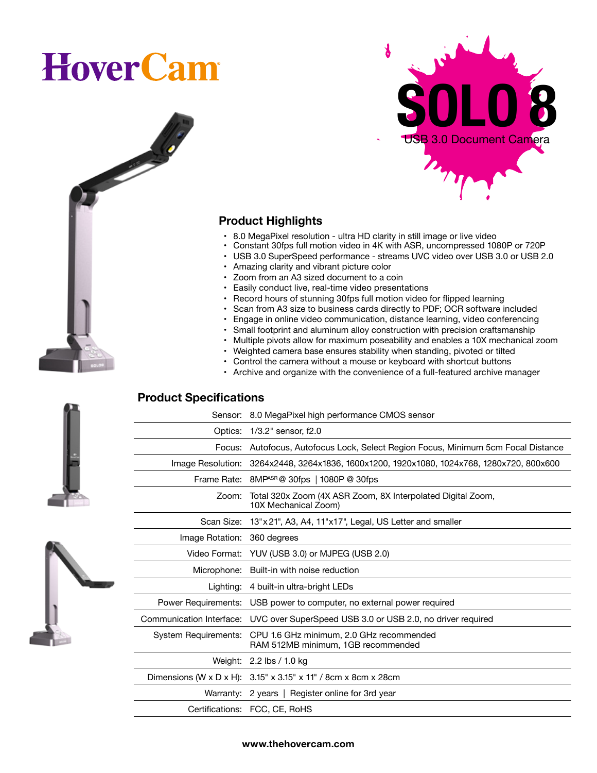# **HoverCam**





# **Product Highlights**

- 8.0 MegaPixel resolution ultra HD clarity in still image or live video
- Constant 30fps full motion video in 4K with ASR, uncompressed 1080P or 720P
- USB 3.0 SuperSpeed performance streams UVC video over USB 3.0 or USB 2.0
- Amazing clarity and vibrant picture color
- Zoom from an A3 sized document to a coin
- Easily conduct live, real-time video presentations
- Record hours of stunning 30fps full motion video for flipped learning
- Scan from A3 size to business cards directly to PDF; OCR software included
- Engage in online video communication, distance learning, video conferencing
- Small footprint and aluminum alloy construction with precision craftsmanship
- Multiple pivots allow for maximum poseability and enables a 10X mechanical zoom
- Weighted camera base ensures stability when standing, pivoted or tilted
- Control the camera without a mouse or keyboard with shortcut buttons
- Archive and organize with the convenience of a full-featured archive manager



# **Product Specifications**

Sensor: 8.0 MegaPixel high performance CMOS sensor

|                             | Optics: 1/3.2" sensor, f2.0                                                                         |
|-----------------------------|-----------------------------------------------------------------------------------------------------|
|                             | Focus: Autofocus, Autofocus Lock, Select Region Focus, Minimum 5cm Focal Distance                   |
|                             | Image Resolution: 3264x2448, 3264x1836, 1600x1200, 1920x1080, 1024x768, 1280x720, 800x600           |
|                             | Frame Rate: $8MPASR @ 30fps$   1080P @ 30fps                                                        |
|                             | Zoom: Total 320x Zoom (4X ASR Zoom, 8X Interpolated Digital Zoom,<br>10X Mechanical Zoom)           |
|                             | Scan Size: 13"x21", A3, A4, 11"x17", Legal, US Letter and smaller                                   |
| Image Rotation: 360 degrees |                                                                                                     |
|                             | Video Format: YUV (USB 3.0) or MJPEG (USB 2.0)                                                      |
|                             | Microphone: Built-in with noise reduction                                                           |
|                             | Lighting: 4 built-in ultra-bright LEDs                                                              |
|                             | Power Requirements: USB power to computer, no external power required                               |
|                             | Communication Interface: UVC over SuperSpeed USB 3.0 or USB 2.0, no driver required                 |
|                             | System Requirements: CPU 1.6 GHz minimum, 2.0 GHz recommended<br>RAM 512MB minimum, 1GB recommended |
|                             | Weight: 2.2 lbs / 1.0 kg                                                                            |
|                             | Dimensions (W x D x H): $3.15''$ x 3.15" x 11" / 8cm x 8cm x 28cm                                   |
|                             | Warranty: 2 years   Register online for 3rd year                                                    |
|                             | Certifications: FCC, CE, RoHS                                                                       |



### **www.thehovercam.com**